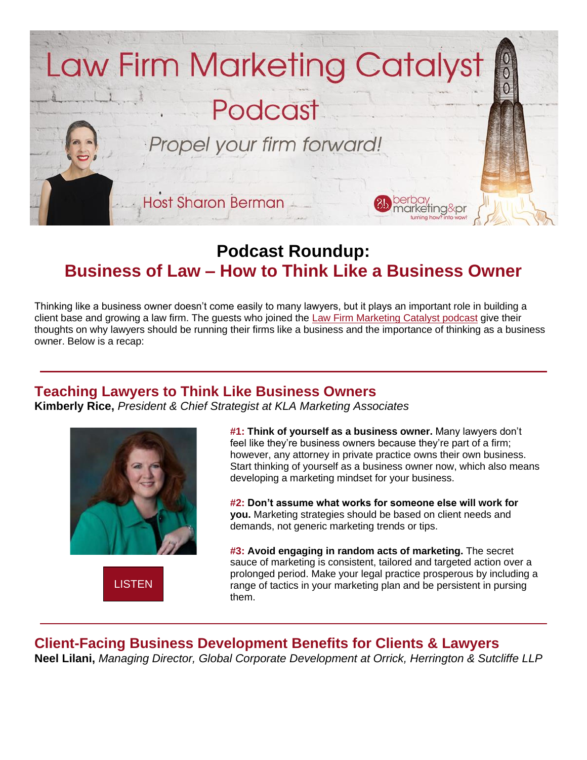

# **Podcast Roundup: Business of Law – How to Think Like a Business Owner**

Thinking like a business owner doesn't come easily to many lawyers, but it plays an important role in building a client base and growing a law firm. The guests who joined the [Law Firm Marketing Catalyst podcast](http://b.marketingautomation.services/click/308475567/www.berbay.com/?p=_GaA6PEw9Qw90qD7G7Cu0CY6AdXcEMeiLSQjhgNOv8phyqUctAqtTGzNfdxWeidTrvHdluqMl7mKff-4TpTjogzr3g7dl14NxUwqfq6LxiCnChUPo21rCkZ1D7WSscRdLGW0l-kR43-4aZ2OwNkNg-WJ8e8nDAUzRc5e4ixsDsthNC7QtUyGrmY6BlltmzUXhjYEFKvqQ7lYp0K59mk6S4_mBaihDatmQSUqB_YebrzZAHkFQRPadvTggCNo_y1iN_AgHw_UDtNuYsI_bFWMcw==) give their thoughts on why lawyers should be running their firms like a business and the importance of thinking as a business owner. Below is a recap:

### **Teaching Lawyers to Think Like Business Owners**

**Kimberly Rice,** *President & Chief Strategist at KLA Marketing Associates*



**[LISTEN](http://b.marketingautomation.services/click/308475567/bit.ly/?p=-1rMxjmmyrLB5phwvcN692yvbG3kzvlmEpgqpjSB-PJbU65mDlbmXbzrprC1vGOb0vnLihX-lBa5olBUj0ljyaYDRjNFqhzQhwUJJACTVLgy15AOeoSz76rS6tgpVtvwN1hDVP4OtlJA8G0WKc7oYcz-bHXN3Ap-F8k8zctoEOP8RKG7jzblK52VJUZrmLKVeNHXRo9arerMmFb-LkuAp7we1duhNRIAHRF0hwKid8g=)** 

**#1: Think of yourself as a business owner.** Many lawyers don't feel like they're business owners because they're part of a firm; however, any attorney in private practice owns their own business. Start thinking of yourself as a business owner now, which also means developing a marketing mindset for your business.

**#2: Don't assume what works for someone else will work for you.** Marketing strategies should be based on client needs and demands, not generic marketing trends or tips.

**#3: Avoid engaging in random acts of marketing.** The secret sauce of marketing is consistent, tailored and targeted action over a prolonged period. Make your legal practice prosperous by including a range of tactics in your marketing plan and be persistent in pursing them.

**Client-Facing Business Development Benefits for Clients & Lawyers Neel Lilani,** *Managing Director, Global Corporate Development at Orrick, Herrington & Sutcliffe LLP*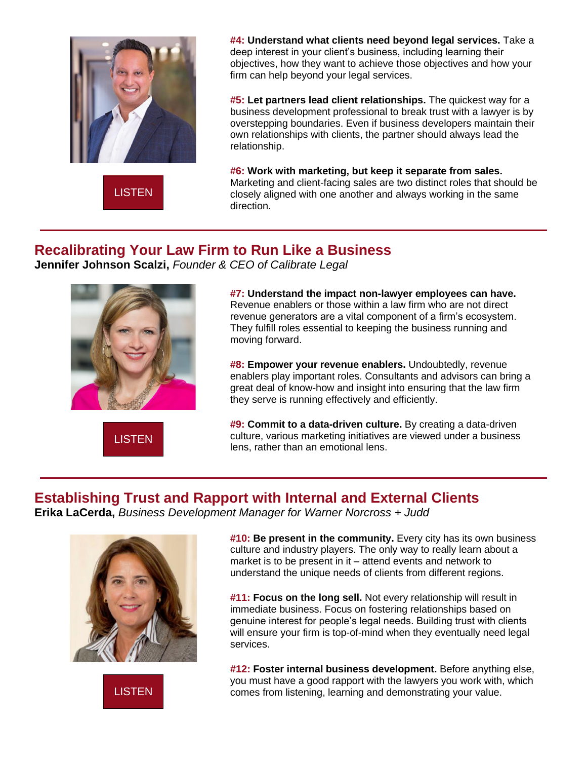

**[LISTEN](http://b.marketingautomation.services/click/308475567/bit.ly/?p=Jxit2DTakVOZbUvV5Dbx1NnjAGH52LM9KYQ02OZji7slvfbUfhrD3uxXtZ1OyXruHVxlXsepx59bplebYKXGHxOo01B0QfqDuf0ss9-QGFz2sVuvYnUSyb2eFghSo8U_7CUwben79xR7xx5drx1o7dBra0ShPn0-Wvg4NQE21hsyuTS41W5be0_1IOVVP337VUidKtz_SMAuk_o3wyoHIlcD7Rp0LAG9YrIYoc6dj7c=)** 

**#4: Understand what clients need beyond legal services.** Take a deep interest in your client's business, including learning their objectives, how they want to achieve those objectives and how your firm can help beyond your legal services.

**#5: Let partners lead client relationships.** The quickest way for a business development professional to break trust with a lawyer is by overstepping boundaries. Even if business developers maintain their own relationships with clients, the partner should always lead the relationship.

**#6: Work with marketing, but keep it separate from sales.** Marketing and client-facing sales are two distinct roles that should be closely aligned with one another and always working in the same direction.

### **Recalibrating Your Law Firm to Run Like a Business**

**Jennifer Johnson Scalzi,** *Founder & CEO of Calibrate Legal*



**[LISTEN](http://b.marketingautomation.services/click/308475567/bit.ly/?p=oF4_2qL7B087WXmGYJvMc-rh76Qd_-YGY4Z_TB7GuA7vlpyNnJeJlpOV4sebjszQwmMJHWWufWAd-oQEIQjaaYETcytdk45vTK2no1IOUtnyaA8s6x-28TcCk_yfLVwLf3V1vrCeXEI3L7Gou7_vjLEfacmhpyQoA0u990-YWPyG7rys-HdJU3eB9ijwk6k54OSgvOiZ3XSXrGZrb70gYRfeJRNzXsiAYREJI9Z0FOI=)** 

**#7: Understand the impact non-lawyer employees can have.** Revenue enablers or those within a law firm who are not direct revenue generators are a vital component of a firm's ecosystem. They fulfill roles essential to keeping the business running and moving forward.

**#8: Empower your revenue enablers.** Undoubtedly, revenue enablers play important roles. Consultants and advisors can bring a great deal of know-how and insight into ensuring that the law firm they serve is running effectively and efficiently.

**#9: Commit to a data-driven culture.** By creating a data-driven culture, various marketing initiatives are viewed under a business lens, rather than an emotional lens.

# **Establishing Trust and Rapport with Internal and External Clients**

**Erika LaCerda,** *Business Development Manager for Warner Norcross + Judd*



[LISTEN](http://b.marketingautomation.services/click/308475567/bit.ly/?p=sEbM5D0GEwwnpowCzpMWNaanCy2tw_laScJxlsDxXlY0exLkqUuulk8iY9DbKPddvHrRBYEHxpqyynl1PE_VvrbqeC1nyyYXFdAhaPQq1G1jaRs2PY1FuvEtveu_GA7bk1wgDhEWnaT4THgjXHFeP7RSdKHo4FI8Rvckhlo05crYYmZQTesaX0Pl-Y-5hZ4-3XgBeCX6-SOGbyPReLbUAyuqkHPobXtU5EYgD0yWMkw=)

**#10: Be present in the community.** Every city has its own business culture and industry players. The only way to really learn about a market is to be present in it – attend events and network to understand the unique needs of clients from different regions.

**#11: Focus on the long sell.** Not every relationship will result in immediate business. Focus on fostering relationships based on genuine interest for people's legal needs. Building trust with clients will ensure your firm is top-of-mind when they eventually need legal services.

**#12: Foster internal business development.** Before anything else, you must have a good rapport with the lawyers you work with, which comes from listening, learning and demonstrating your value.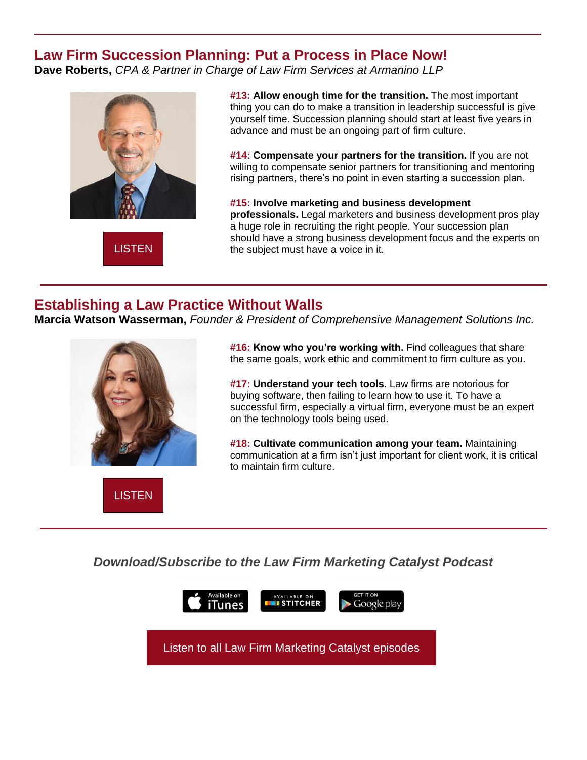### **Law Firm Succession Planning: Put a Process in Place Now!**

**Dave Roberts,** *CPA & Partner in Charge of Law Firm Services at Armanino LLP*



**[LISTEN](http://b.marketingautomation.services/click/308475567/bit.ly/?p=grAm0UB7dQ90PZwXUlmRKc9D-lgNYw18LNHfHBbcKxJ8kvHbRjKOPPBkGcFBiv6O9qzjB3CebXGw8jzBzVnRRorLSzfSv1C6-SC38Va1Q5FKPuK5T0ZcDEdrxO1fltxtCT9t-v8Cmzz9TTIaEY41UM-bucTCpJ-JQyRO_4j5Fs9ldn4Pc66WfRTDo8nOPpVkWMcSAAFjGEU9T7yew6lFTGyuuzeDQcrxzMnNJ6Vfk3c=)** 

**#13: Allow enough time for the transition.** The most important thing you can do to make a transition in leadership successful is give yourself time. Succession planning should start at least five years in advance and must be an ongoing part of firm culture.

**#14: Compensate your partners for the transition.** If you are not willing to compensate senior partners for transitioning and mentoring rising partners, there's no point in even starting a succession plan.

**#15: Involve marketing and business development professionals.** Legal marketers and business development pros play a huge role in recruiting the right people. Your succession plan should have a strong business development focus and the experts on the subject must have a voice in it.

## **Establishing a Law Practice Without Walls**

**Marcia Watson Wasserman,** *Founder & President of Comprehensive Management Solutions Inc.*



**#16: Know who you're working with.** Find colleagues that share the same goals, work ethic and commitment to firm culture as you.

**#17: Understand your tech tools.** Law firms are notorious for buying software, then failing to learn how to use it. To have a successful firm, especially a virtual firm, everyone must be an expert on the technology tools being used.

**#18: Cultivate communication among your team.** Maintaining communication at a firm isn't just important for client work, it is critical to maintain firm culture.

**[LISTEN](http://b.marketingautomation.services/click/308475567/bit.ly/?p=tzGsJhB4XxuS7SPlbcvGDc4Yc20lauCOA_BIXiQiu29kx-40zRHPu3KJSHv6nzXq2kmSkNjdjyqTXreKH7KicBagOJ-ZwCWgLHotdST1GsUyDx5Vb3qPh9Rbr1BJGc7AZRus8YkHB11EXx6ek_LGu6MdlebeH_KqCwI9LeC8K0ios8CkHgbkoziw4BYkcV360MtgWwZJcNu6tB0lyZm5Xx_rvMFHCt0EnypbHndmYMM=)** 

*Download/Subscribe to the Law Firm Marketing Catalyst Podcast*



[Listen to all Law Firm Marketing Catalyst episodes](http://b.marketingautomation.services/click/308475567/bit.ly/?p=K2W0UvgB0wxMvdEyWOhjDzG0P8AKesLYa4lMSDeMQbgdXKuIcPiQmn84alfgSHlxRLuiPIhDHT0aGjdPILeU2nO6jNFelDATZavc2xWWSoKzQdgU8stD0UQ3Qdd_xpjVKwp7OESrPZWFh2eJR8Q7IxXGOZL7ViQa-5tKerDSX2acqCEu_9IFLu0Wj3eFl40SC4AvJSjgKiU8ofPPrpaYwvRaDPeSp-CA8XylJB8iKOc=)